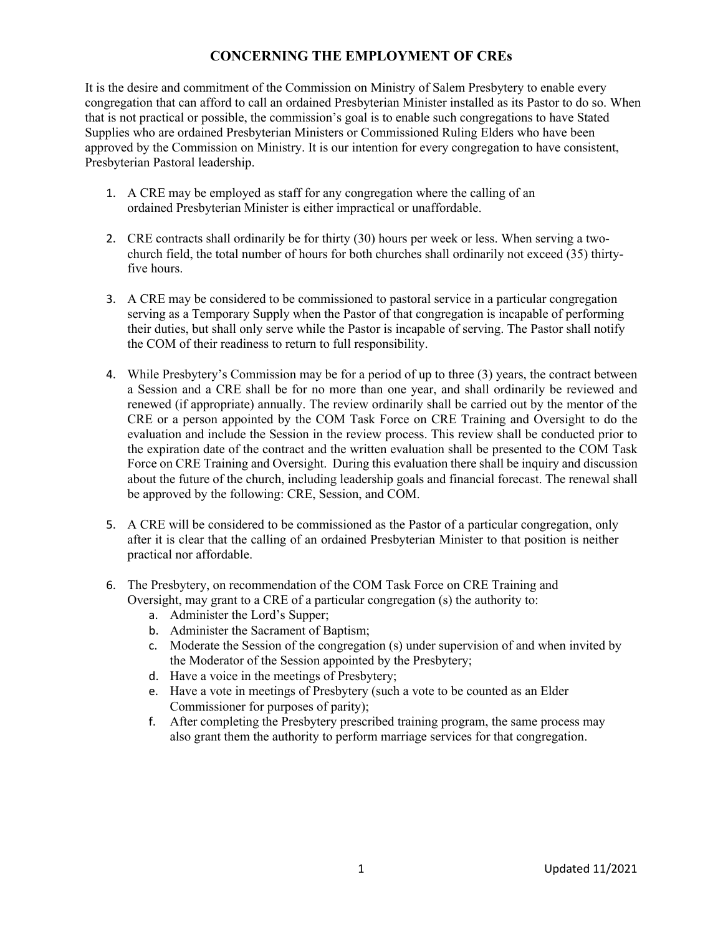## **CONCERNING THE EMPLOYMENT OF CREs**

It is the desire and commitment of the Commission on Ministry of Salem Presbytery to enable every congregation that can afford to call an ordained Presbyterian Minister installed as its Pastor to do so. When that is not practical or possible, the commission's goal is to enable such congregations to have Stated Supplies who are ordained Presbyterian Ministers or Commissioned Ruling Elders who have been approved by the Commission on Ministry. It is our intention for every congregation to have consistent, Presbyterian Pastoral leadership.

- 1. A CRE may be employed as staff for any congregation where the calling of an ordained Presbyterian Minister is either impractical or unaffordable.
- 2. CRE contracts shall ordinarily be for thirty (30) hours per week or less. When serving a twochurch field, the total number of hours for both churches shall ordinarily not exceed (35) thirtyfive hours.
- 3. A CRE may be considered to be commissioned to pastoral service in a particular congregation serving as a Temporary Supply when the Pastor of that congregation is incapable of performing their duties, but shall only serve while the Pastor is incapable of serving. The Pastor shall notify the COM of their readiness to return to full responsibility.
- 4. While Presbytery's Commission may be for a period of up to three (3) years, the contract between a Session and a CRE shall be for no more than one year, and shall ordinarily be reviewed and renewed (if appropriate) annually. The review ordinarily shall be carried out by the mentor of the CRE or a person appointed by the COM Task Force on CRE Training and Oversight to do the evaluation and include the Session in the review process. This review shall be conducted prior to the expiration date of the contract and the written evaluation shall be presented to the COM Task Force on CRE Training and Oversight. During this evaluation there shall be inquiry and discussion about the future of the church, including leadership goals and financial forecast. The renewal shall be approved by the following: CRE, Session, and COM.
- 5. A CRE will be considered to be commissioned as the Pastor of a particular congregation, only after it is clear that the calling of an ordained Presbyterian Minister to that position is neither practical nor affordable.
- 6. The Presbytery, on recommendation of the COM Task Force on CRE Training and Oversight, may grant to a CRE of a particular congregation (s) the authority to:
	- a. Administer the Lord's Supper;
	- b. Administer the Sacrament of Baptism;
	- c. Moderate the Session of the congregation (s) under supervision of and when invited by the Moderator of the Session appointed by the Presbytery;
	- d. Have a voice in the meetings of Presbytery;
	- e. Have a vote in meetings of Presbytery (such a vote to be counted as an Elder Commissioner for purposes of parity);
	- f. After completing the Presbytery prescribed training program, the same process may also grant them the authority to perform marriage services for that congregation.